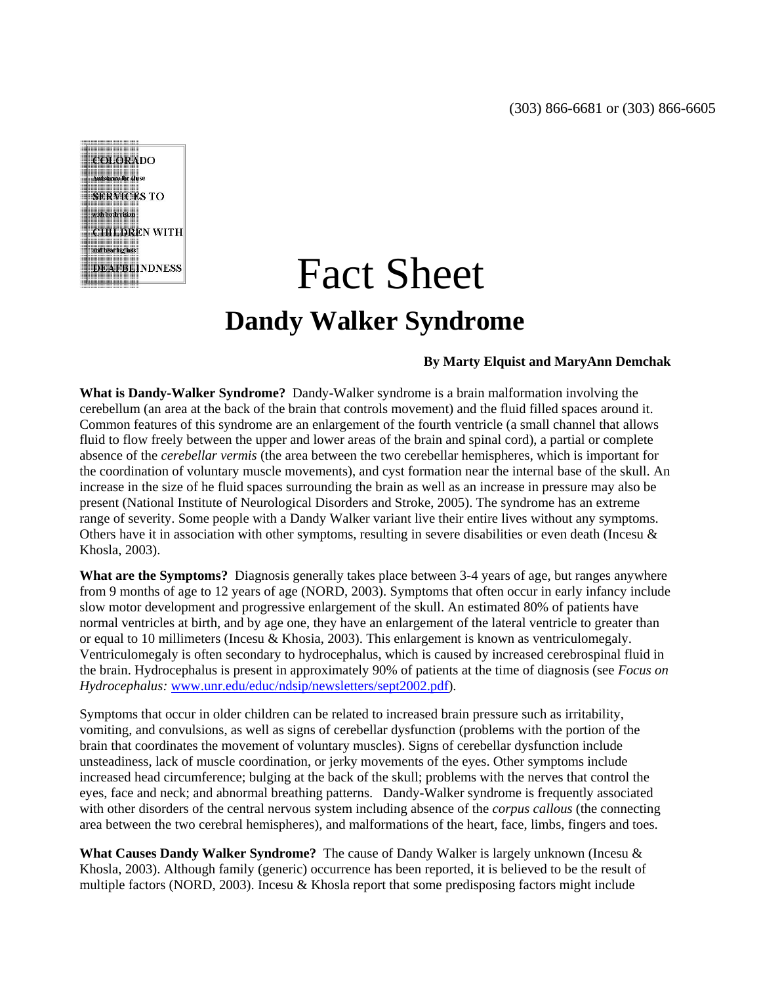**COLORADO Assistance for those SERVICES TO** with both vision. **CHILDREN WITH** and hearing loss **DEAFBLINDNESS** 

## Fact Sheet **Dandy Walker Syndrome**

## **By Marty Elquist and MaryAnn Demchak**

**What is Dandy-Walker Syndrome?** Dandy-Walker syndrome is a brain malformation involving the cerebellum (an area at the back of the brain that controls movement) and the fluid filled spaces around it. Common features of this syndrome are an enlargement of the fourth ventricle (a small channel that allows fluid to flow freely between the upper and lower areas of the brain and spinal cord), a partial or complete absence of the *cerebellar vermis* (the area between the two cerebellar hemispheres, which is important for the coordination of voluntary muscle movements), and cyst formation near the internal base of the skull. An increase in the size of he fluid spaces surrounding the brain as well as an increase in pressure may also be present (National Institute of Neurological Disorders and Stroke, 2005). The syndrome has an extreme range of severity. Some people with a Dandy Walker variant live their entire lives without any symptoms. Others have it in association with other symptoms, resulting in severe disabilities or even death (Incesu & Khosla, 2003).

**What are the Symptoms?** Diagnosis generally takes place between 3-4 years of age, but ranges anywhere from 9 months of age to 12 years of age (NORD, 2003). Symptoms that often occur in early infancy include slow motor development and progressive enlargement of the skull. An estimated 80% of patients have normal ventricles at birth, and by age one, they have an enlargement of the lateral ventricle to greater than or equal to 10 millimeters (Incesu & Khosia, 2003). This enlargement is known as ventriculomegaly. Ventriculomegaly is often secondary to hydrocephalus, which is caused by increased cerebrospinal fluid in the brain. Hydrocephalus is present in approximately 90% of patients at the time of diagnosis (see *Focus on Hydrocephalus:* www.unr.edu/educ/ndsip/newsletters/sept2002.pdf).

Symptoms that occur in older children can be related to increased brain pressure such as irritability, vomiting, and convulsions, as well as signs of cerebellar dysfunction (problems with the portion of the brain that coordinates the movement of voluntary muscles). Signs of cerebellar dysfunction include unsteadiness, lack of muscle coordination, or jerky movements of the eyes. Other symptoms include increased head circumference; bulging at the back of the skull; problems with the nerves that control the eyes, face and neck; and abnormal breathing patterns. Dandy-Walker syndrome is frequently associated with other disorders of the central nervous system including absence of the *corpus callous* (the connecting area between the two cerebral hemispheres), and malformations of the heart, face, limbs, fingers and toes.

**What Causes Dandy Walker Syndrome?** The cause of Dandy Walker is largely unknown (Incesu & Khosla, 2003). Although family (generic) occurrence has been reported, it is believed to be the result of multiple factors (NORD, 2003). Incesu  $&$  Khosla report that some predisposing factors might include